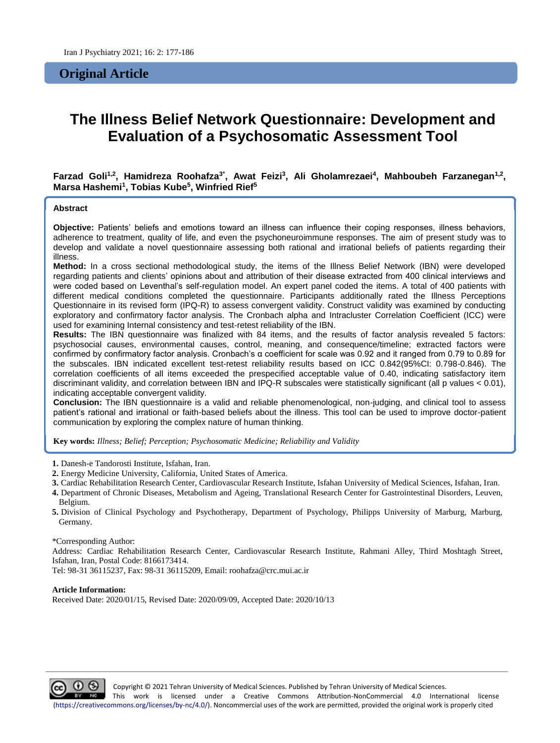# **Original Article**

# **The Illness Belief Network Questionnaire: Development and Evaluation of a Psychosomatic Assessment Tool**

**Farzad Goli1,2, Hamidreza Roohafza3\* , Awat Feizi<sup>3</sup> , Ali Gholamrezaei<sup>4</sup> , Mahboubeh Farzanegan1,2 , Marsa Hashemi<sup>1</sup> , Tobias Kube<sup>5</sup> , Winfried Rief<sup>5</sup>**

#### **Abstract**

**Objective:** Patients' beliefs and emotions toward an illness can influence their coping responses, illness behaviors, adherence to treatment, quality of life, and even the psychoneuroimmune responses. The aim of present study was to develop and validate a novel questionnaire assessing both rational and irrational beliefs of patients regarding their illness.

**Method:** In a cross sectional methodological study, the items of the Illness Belief Network (IBN) were developed regarding patients and clients' opinions about and attribution of their disease extracted from 400 clinical interviews and were coded based on Leventhal's self-regulation model. An expert panel coded the items. A total of 400 patients with different medical conditions completed the questionnaire. Participants additionally rated the Illness Perceptions Questionnaire in its revised form (IPQ-R) to assess convergent validity. Construct validity was examined by conducting exploratory and confirmatory factor analysis. The Cronbach alpha and Intracluster Correlation Coefficient (ICC) were used for examining Internal consistency and test-retest reliability of the IBN.

**Results:** The IBN questionnaire was finalized with 84 items, and the results of factor analysis revealed 5 factors: psychosocial causes, environmental causes, control, meaning, and consequence/timeline; extracted factors were confirmed by confirmatory factor analysis. Cronbach's α coefficient for scale was 0.92 and it ranged from 0.79 to 0.89 for the subscales. IBN indicated excellent test-retest reliability results based on ICC 0.842(95%CI: 0.798-0.846). The correlation coefficients of all items exceeded the prespecified acceptable value of 0.40, indicating satisfactory item discriminant validity, and correlation between IBN and IPQ-R subscales were statistically significant (all p values < 0.01), indicating acceptable convergent validity.

**Conclusion:** The IBN questionnaire is a valid and reliable phenomenological, non-judging, and clinical tool to assess patient's rational and irrational or faith-based beliefs about the illness. This tool can be used to improve doctor-patient communication by exploring the complex nature of human thinking.

**Key words:** *Illness; Belief; Perception; Psychosomatic Medicine; Reliability and Validity*

**1.** Danesh-e Tandorosti Institute, Isfahan, Iran.

- **2.** Energy Medicine University, California, United States of America.
- **3.** Cardiac Rehabilitation Research Center, Cardiovascular Research Institute, Isfahan University of Medical Sciences, Isfahan, Iran.
- **4.** Department of Chronic Diseases, Metabolism and Ageing, Translational Research Center for Gastrointestinal Disorders, Leuven, Belgium.
- **5.** Division of Clinical Psychology and Psychotherapy, Department of Psychology, Philipps University of Marburg, Marburg, Germany.

#### \*Corresponding Author:

Address: Cardiac Rehabilitation Research Center, Cardiovascular Research Institute, Rahmani Alley, Third Moshtagh Street, Isfahan, Iran, Postal Code: 8166173414.

Tel: 98-31 36115237, Fax: 98-31 36115209, Email: roohafza@crc.mui.ac.ir

#### **Article Information:**

Received Date: 2020/01/15, Revised Date: 2020/09/09, Accepted Date: 2020/10/13

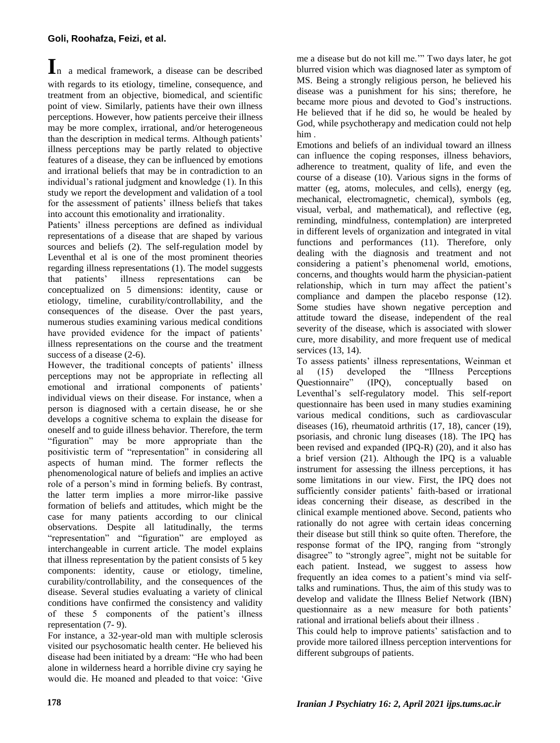**I**<sup>n</sup> a medical framework, a disease can be described with regards to its etiology, timeline, consequence, and treatment from an objective, biomedical, and scientific point of view. Similarly, patients have their own illness perceptions. However, how patients perceive their illness may be more complex, irrational, and/or heterogeneous than the description in medical terms. Although patients' illness perceptions may be partly related to objective features of a disease, they can be influenced by emotions and irrational beliefs that may be in contradiction to an individual's rational judgment and knowledge (1). In this study we report the development and validation of a tool for the assessment of patients' illness beliefs that takes into account this emotionality and irrationality.

Patients' illness perceptions are defined as individual representations of a disease that are shaped by various sources and beliefs (2). The self-regulation model by Leventhal et al is one of the most prominent theories regarding illness representations (1). The model suggests that patients' illness representations can be conceptualized on 5 dimensions: identity, cause or etiology, timeline, curability/controllability, and the consequences of the disease. Over the past years, numerous studies examining various medical conditions have provided evidence for the impact of patients' illness representations on the course and the treatment success of a disease (2-6).

However, the traditional concepts of patients' illness perceptions may not be appropriate in reflecting all emotional and irrational components of patients' individual views on their disease. For instance, when a person is diagnosed with a certain disease, he or she develops a cognitive schema to explain the disease for oneself and to guide illness behavior. Therefore, the term "figuration" may be more appropriate than the positivistic term of "representation" in considering all aspects of human mind. The former reflects the phenomenological nature of beliefs and implies an active role of a person's mind in forming beliefs. By contrast, the latter term implies a more mirror-like passive formation of beliefs and attitudes, which might be the case for many patients according to our clinical observations. Despite all latitudinally, the terms "representation" and "figuration" are employed as interchangeable in current article. The model explains that illness representation by the patient consists of 5 key components: identity, cause or etiology, timeline, curability/controllability, and the consequences of the disease. Several studies evaluating a variety of clinical conditions have confirmed the consistency and validity of these 5 components of the patient's illness representation (7- 9).

For instance, a 32-year-old man with multiple sclerosis visited our psychosomatic health center. He believed his disease had been initiated by a dream: "He who had been alone in wilderness heard a horrible divine cry saying he would die. He moaned and pleaded to that voice: 'Give

me a disease but do not kill me.'" Two days later, he got blurred vision which was diagnosed later as symptom of MS. Being a strongly religious person, he believed his disease was a punishment for his sins; therefore, he became more pious and devoted to God's instructions. He believed that if he did so, he would be healed by God, while psychotherapy and medication could not help him .

Emotions and beliefs of an individual toward an illness can influence the coping responses, illness behaviors, adherence to treatment, quality of life, and even the course of a disease (10). Various signs in the forms of matter (eg, atoms, molecules, and cells), energy (eg, mechanical, electromagnetic, chemical), symbols (eg, visual, verbal, and mathematical), and reflective (eg, reminding, mindfulness, contemplation) are interpreted in different levels of organization and integrated in vital functions and performances (11). Therefore, only dealing with the diagnosis and treatment and not considering a patient's phenomenal world, emotions, concerns, and thoughts would harm the physician-patient relationship, which in turn may affect the patient's compliance and dampen the placebo response (12). Some studies have shown negative perception and attitude toward the disease, independent of the real severity of the disease, which is associated with slower cure, more disability, and more frequent use of medical services (13, 14).

To assess patients' illness representations, Weinman et<br>al. (15) developed the "Illness Perceptions al (15) developed the "Illness Perceptions Questionnaire" (IPQ), conceptually based on Leventhal's self-regulatory model. This self-report questionnaire has been used in many studies examining various medical conditions, such as cardiovascular diseases (16), rheumatoid arthritis (17, 18), cancer (19), psoriasis, and chronic lung diseases (18). The IPQ has been revised and expanded (IPQ-R) (20), and it also has a brief version (21). Although the IPQ is a valuable instrument for assessing the illness perceptions, it has some limitations in our view. First, the IPQ does not sufficiently consider patients' faith-based or irrational ideas concerning their disease, as described in the clinical example mentioned above. Second, patients who rationally do not agree with certain ideas concerning their disease but still think so quite often. Therefore, the response format of the IPQ, ranging from "strongly disagree" to "strongly agree", might not be suitable for each patient. Instead, we suggest to assess how frequently an idea comes to a patient's mind via selftalks and ruminations. Thus, the aim of this study was to develop and validate the Illness Belief Network (IBN) questionnaire as a new measure for both patients' rational and irrational beliefs about their illness .

This could help to improve patients' satisfaction and to provide more tailored illness perception interventions for different subgroups of patients.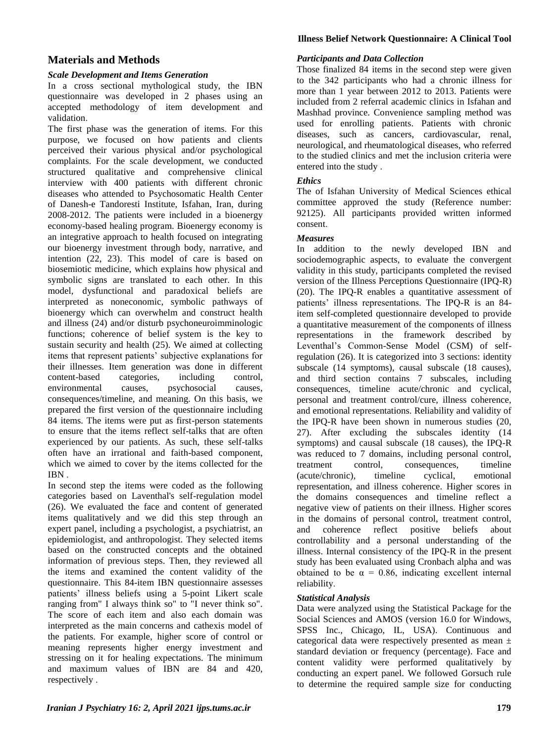# **Materials and Methods**

## *Scale Development and Items Generation*

In a cross sectional mythological study, the IBN questionnaire was developed in 2 phases using an accepted methodology of item development and validation.

The first phase was the generation of items. For this purpose, we focused on how patients and clients perceived their various physical and/or psychological complaints. For the scale development, we conducted structured qualitative and comprehensive clinical interview with 400 patients with different chronic diseases who attended to Psychosomatic Health Center of Danesh-e Tandoresti Institute, Isfahan, Iran, during 2008-2012. The patients were included in a bioenergy economy-based healing program. Bioenergy economy is an integrative approach to health focused on integrating our bioenergy investment through body, narrative, and intention (22, 23). This model of care is based on biosemiotic medicine, which explains how physical and symbolic signs are translated to each other. In this model, dysfunctional and paradoxical beliefs are interpreted as noneconomic, symbolic pathways of bioenergy which can overwhelm and construct health and illness (24) and/or disturb psychoneuroimminologic functions; coherence of belief system is the key to sustain security and health (25). We aimed at collecting items that represent patients' subjective explanations for their illnesses. Item generation was done in different content-based categories, including control, environmental causes, psychosocial causes, consequences/timeline, and meaning. On this basis, we prepared the first version of the questionnaire including 84 items. The items were put as first-person statements to ensure that the items reflect self-talks that are often experienced by our patients. As such, these self-talks often have an irrational and faith-based component, which we aimed to cover by the items collected for the IBN .

In second step the items were coded as the following categories based on Laventhal's self-regulation model (26). We evaluated the face and content of generated items qualitatively and we did this step through an expert panel, including a psychologist, a psychiatrist, an epidemiologist, and anthropologist. They selected items based on the constructed concepts and the obtained information of previous steps. Then, they reviewed all the items and examined the content validity of the questionnaire. This 84-item IBN questionnaire assesses patients' illness beliefs using a 5-point Likert scale ranging from" I always think so" to "I never think so". The score of each item and also each domain was interpreted as the main concerns and cathexis model of the patients. For example, higher score of control or meaning represents higher energy investment and stressing on it for healing expectations. The minimum and maximum values of IBN are 84 and 420, respectively .

#### **Illness Belief Network Questionnaire: A Clinical Tool**

#### *Participants and Data Collection*

Those finalized 84 items in the second step were given to the 342 participants who had a chronic illness for more than 1 year between 2012 to 2013. Patients were included from 2 referral academic clinics in Isfahan and Mashhad province. Convenience sampling method was used for enrolling patients. Patients with chronic diseases, such as cancers, cardiovascular, renal, neurological, and rheumatological diseases, who referred to the studied clinics and met the inclusion criteria were entered into the study .

# *Ethics*

The of Isfahan University of Medical Sciences ethical committee approved the study (Reference number: 92125). All participants provided written informed consent.

### *Measures*

In addition to the newly developed IBN and sociodemographic aspects, to evaluate the convergent validity in this study, participants completed the revised version of the Illness Perceptions Questionnaire (IPQ-R) (20). The IPQ-R enables a quantitative assessment of patients' illness representations. The IPQ-R is an 84 item self-completed questionnaire developed to provide a quantitative measurement of the components of illness representations in the framework described by Leventhal's Common-Sense Model (CSM) of selfregulation (26). It is categorized into 3 sections: identity subscale (14 symptoms), causal subscale (18 causes), and third section contains 7 subscales, including consequences, timeline acute/chronic and cyclical, personal and treatment control/cure, illness coherence, and emotional representations. Reliability and validity of the IPQ-R have been shown in numerous studies (20, 27). After excluding the subscales identity (14 symptoms) and causal subscale (18 causes), the IPQ-R was reduced to 7 domains, including personal control, treatment control, consequences, timeline (acute/chronic), timeline cyclical, emotional representation, and illness coherence. Higher scores in the domains consequences and timeline reflect a negative view of patients on their illness. Higher scores in the domains of personal control, treatment control, and coherence reflect positive beliefs about controllability and a personal understanding of the illness. Internal consistency of the IPQ-R in the present study has been evaluated using Cronbach alpha and was obtained to be  $\alpha = 0.86$ , indicating excellent internal reliability.

### *Statistical Analysis*

Data were analyzed using the Statistical Package for the Social Sciences and AMOS (version 16.0 for Windows, SPSS Inc., Chicago, IL, USA). Continuous and categorical data were respectively presented as mean ± standard deviation or frequency (percentage). Face and content validity were performed qualitatively by conducting an expert panel. We followed Gorsuch rule to determine the required sample size for conducting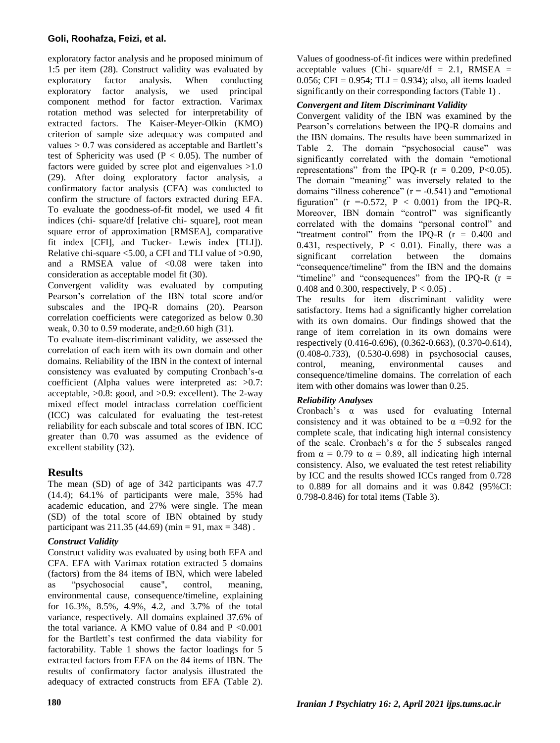exploratory factor analysis and he proposed minimum of 1:5 per item (28). Construct validity was evaluated by exploratory factor analysis. When conducting exploratory factor analysis, we used principal component method for factor extraction. Varimax rotation method was selected for interpretability of extracted factors. The Kaiser-Meyer-Olkin (KMO) criterion of sample size adequacy was computed and values > 0.7 was considered as acceptable and Bartlett's test of Sphericity was used ( $P < 0.05$ ). The number of factors were guided by scree plot and eigenvalues >1.0 (29). After doing exploratory factor analysis, a confirmatory factor analysis (CFA) was conducted to confirm the structure of factors extracted during EFA. To evaluate the goodness-of-fit model, we used 4 fit indices (chi- square/df [relative chi- square], root mean square error of approximation [RMSEA], comparative fit index [CFI], and Tucker- Lewis index [TLI]). Relative chi-square <5.00, a CFI and TLI value of >0.90, and a RMSEA value of  $< 0.08$  were taken into consideration as acceptable model fit (30).

Convergent validity was evaluated by computing Pearson's correlation of the IBN total score and/or subscales and the IPQ-R domains (20). Pearson correlation coefficients were categorized as below 0.30 weak, 0.30 to 0.59 moderate, and≥0.60 high (31).

To evaluate item-discriminant validity, we assessed the correlation of each item with its own domain and other domains. Reliability of the IBN in the context of internal consistency was evaluated by computing Cronbach's- $\alpha$ coefficient (Alpha values were interpreted as: >0.7: acceptable,  $>0.8$ : good, and  $>0.9$ : excellent). The 2-way mixed effect model intraclass correlation coefficient (ICC) was calculated for evaluating the test-retest reliability for each subscale and total scores of IBN. ICC greater than 0.70 was assumed as the evidence of excellent stability (32).

# **Results**

The mean (SD) of age of 342 participants was 47.7 (14.4); 64.1% of participants were male, 35% had academic education, and 27% were single. The mean (SD) of the total score of IBN obtained by study participant was  $211.35 (44.69) (min = 91, max = 348)$ .

# *Construct Validity*

Construct validity was evaluated by using both EFA and CFA. EFA with Varimax rotation extracted 5 domains (factors) from the 84 items of IBN, which were labeled as "psychosocial cause", control, meaning, environmental cause, consequence/timeline, explaining for 16.3%, 8.5%, 4.9%, 4.2, and 3.7% of the total variance, respectively. All domains explained 37.6% of the total variance. A KMO value of 0.84 and  $P < 0.001$ for the Bartlett's test confirmed the data viability for factorability. Table 1 shows the factor loadings for 5 extracted factors from EFA on the 84 items of IBN. The results of confirmatory factor analysis illustrated the adequacy of extracted constructs from EFA (Table 2).

Values of goodness-of-fit indices were within predefined acceptable values (Chi- square/df =  $2.1$ , RMSEA = 0.056; CFI =  $0.954$ ; TLI =  $0.934$ ); also, all items loaded significantly on their corresponding factors (Table 1).

# *Convergent and Iitem Discriminant Validity*

Convergent validity of the IBN was examined by the Pearson's correlations between the IPQ-R domains and the IBN domains. The results have been summarized in Table 2. The domain "psychosocial cause" was significantly correlated with the domain "emotional representations" from the IPQ-R  $(r = 0.209, P < 0.05)$ . The domain "meaning" was inversely related to the domains "illness coherence"  $(r = -0.541)$  and "emotional" figuration" ( $r = -0.572$ ,  $P < 0.001$ ) from the IPQ-R. Moreover, IBN domain "control" was significantly correlated with the domains "personal control" and "treatment control" from the IPQ-R (r = 0.400 and 0.431, respectively,  $P < 0.01$ ). Finally, there was a significant correlation between the domains "consequence/timeline" from the IBN and the domains "timeline" and "consequences" from the IPQ-R  $(r =$ 0.408 and 0.300, respectively,  $P < 0.05$ ).

The results for item discriminant validity were satisfactory. Items had a significantly higher correlation with its own domains. Our findings showed that the range of item correlation in its own domains were respectively (0.416-0.696), (0.362-0.663), (0.370-0.614), (0.408-0.733), (0.530-0.698) in psychosocial causes, control, meaning, environmental causes and consequence/timeline domains. The correlation of each item with other domains was lower than 0.25.

# *Reliability Analyses*

Cronbach's α was used for evaluating Internal consistency and it was obtained to be  $\alpha = 0.92$  for the complete scale, that indicating high internal consistency of the scale. Cronbach's  $\alpha$  for the 5 subscales ranged from  $\alpha = 0.79$  to  $\alpha = 0.89$ , all indicating high internal consistency. Also, we evaluated the test retest reliability by ICC and the results showed ICCs ranged from 0.728 to 0.889 for all domains and it was 0.842 (95%CI: 0.798-0.846) for total items (Table 3).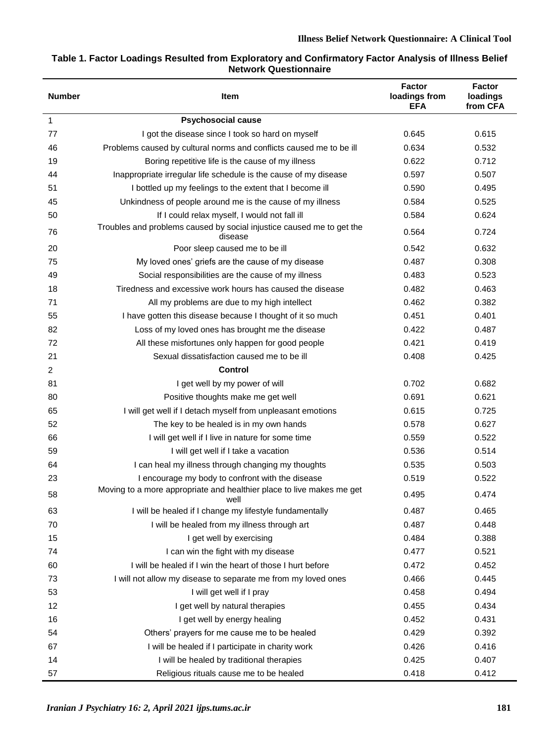### **Table 1. Factor Loadings Resulted from Exploratory and Confirmatory Factor Analysis of Illness Belief Network Questionnaire**

| <b>Number</b>  | Item                                                                             | <b>Factor</b><br>loadings from<br><b>EFA</b> | <b>Factor</b><br>loadings<br>from CFA |
|----------------|----------------------------------------------------------------------------------|----------------------------------------------|---------------------------------------|
| 1              | <b>Psychosocial cause</b>                                                        |                                              |                                       |
| 77             | I got the disease since I took so hard on myself                                 | 0.645                                        | 0.615                                 |
| 46             | Problems caused by cultural norms and conflicts caused me to be ill              | 0.634                                        | 0.532                                 |
| 19             | Boring repetitive life is the cause of my illness                                | 0.622                                        | 0.712                                 |
| 44             | Inappropriate irregular life schedule is the cause of my disease                 | 0.597                                        | 0.507                                 |
| 51             | I bottled up my feelings to the extent that I become ill                         | 0.590                                        | 0.495                                 |
| 45             | Unkindness of people around me is the cause of my illness                        | 0.584                                        | 0.525                                 |
| 50             | If I could relax myself, I would not fall ill                                    | 0.584                                        | 0.624                                 |
| 76             | Troubles and problems caused by social injustice caused me to get the<br>disease | 0.564                                        | 0.724                                 |
| 20             | Poor sleep caused me to be ill                                                   | 0.542                                        | 0.632                                 |
| 75             | My loved ones' griefs are the cause of my disease                                | 0.487                                        | 0.308                                 |
| 49             | Social responsibilities are the cause of my illness                              | 0.483                                        | 0.523                                 |
| 18             | Tiredness and excessive work hours has caused the disease                        | 0.482                                        | 0.463                                 |
| 71             | All my problems are due to my high intellect                                     | 0.462                                        | 0.382                                 |
| 55             | I have gotten this disease because I thought of it so much                       | 0.451                                        | 0.401                                 |
| 82             | Loss of my loved ones has brought me the disease                                 | 0.422                                        | 0.487                                 |
| 72             | All these misfortunes only happen for good people                                | 0.421                                        | 0.419                                 |
| 21             | Sexual dissatisfaction caused me to be ill                                       | 0.408                                        | 0.425                                 |
| $\overline{c}$ | <b>Control</b>                                                                   |                                              |                                       |
| 81             | I get well by my power of will                                                   | 0.702                                        | 0.682                                 |
| 80             | Positive thoughts make me get well                                               | 0.691                                        | 0.621                                 |
| 65             | I will get well if I detach myself from unpleasant emotions                      | 0.615                                        | 0.725                                 |
| 52             | The key to be healed is in my own hands                                          | 0.578                                        | 0.627                                 |
| 66             | I will get well if I live in nature for some time                                | 0.559                                        | 0.522                                 |
| 59             | I will get well if I take a vacation                                             | 0.536                                        | 0.514                                 |
| 64             | I can heal my illness through changing my thoughts                               | 0.535                                        | 0.503                                 |
| 23             | I encourage my body to confront with the disease                                 | 0.519                                        | 0.522                                 |
| 58             | Moving to a more appropriate and healthier place to live makes me get<br>well    | 0.495                                        | 0.474                                 |
| 63             | I will be healed if I change my lifestyle fundamentally                          | 0.487                                        | 0.465                                 |
| 70             | I will be healed from my illness through art                                     | 0.487                                        | 0.448                                 |
| 15             | I get well by exercising                                                         | 0.484                                        | 0.388                                 |
| 74             | I can win the fight with my disease                                              | 0.477                                        | 0.521                                 |
| 60             | I will be healed if I win the heart of those I hurt before                       | 0.472                                        | 0.452                                 |
| 73             | I will not allow my disease to separate me from my loved ones                    | 0.466                                        | 0.445                                 |
| 53             | I will get well if I pray                                                        | 0.458                                        | 0.494                                 |
| 12             | I get well by natural therapies                                                  | 0.455                                        | 0.434                                 |
| 16             | I get well by energy healing                                                     | 0.452                                        | 0.431                                 |
| 54             | Others' prayers for me cause me to be healed                                     | 0.429                                        | 0.392                                 |
| 67             | I will be healed if I participate in charity work                                | 0.426                                        | 0.416                                 |
| 14             | I will be healed by traditional therapies                                        | 0.425                                        | 0.407                                 |
| 57             | Religious rituals cause me to be healed                                          | 0.418                                        | 0.412                                 |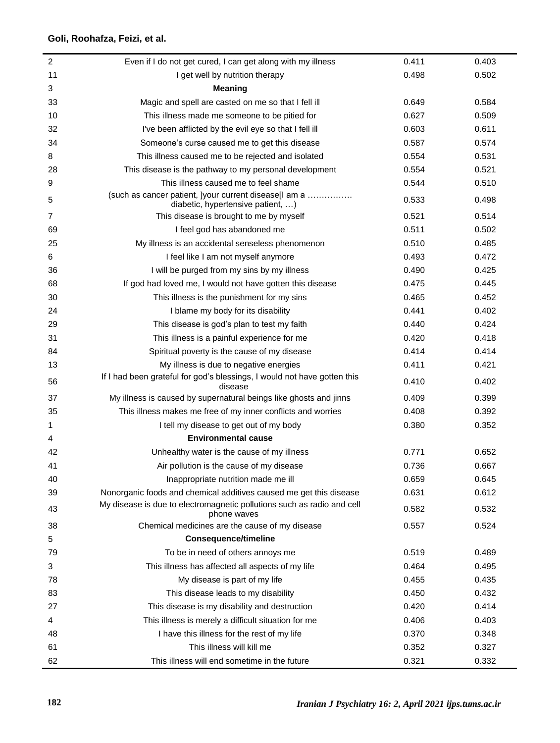L

| $\overline{c}$ | Even if I do not get cured, I can get along with my illness                                | 0.411 | 0.403 |
|----------------|--------------------------------------------------------------------------------------------|-------|-------|
| 11             | I get well by nutrition therapy                                                            | 0.498 | 0.502 |
| 3              | <b>Meaning</b>                                                                             |       |       |
| 33             | Magic and spell are casted on me so that I fell ill                                        | 0.649 | 0.584 |
| 10             | This illness made me someone to be pitied for                                              | 0.627 | 0.509 |
| 32             | I've been afflicted by the evil eye so that I fell ill                                     | 0.603 | 0.611 |
| 34             | Someone's curse caused me to get this disease                                              | 0.587 | 0.574 |
| 8              | This illness caused me to be rejected and isolated                                         | 0.554 | 0.531 |
| 28             | This disease is the pathway to my personal development                                     | 0.554 | 0.521 |
| 9              | This illness caused me to feel shame                                                       | 0.544 | 0.510 |
| 5              | (such as cancer patient, ]your current disease[l am a<br>diabetic, hypertensive patient, ) | 0.533 | 0.498 |
| 7              | This disease is brought to me by myself                                                    | 0.521 | 0.514 |
| 69             | I feel god has abandoned me                                                                | 0.511 | 0.502 |
| 25             | My illness is an accidental senseless phenomenon                                           | 0.510 | 0.485 |
| 6              | I feel like I am not myself anymore                                                        | 0.493 | 0.472 |
| 36             | I will be purged from my sins by my illness                                                | 0.490 | 0.425 |
| 68             | If god had loved me, I would not have gotten this disease                                  | 0.475 | 0.445 |
| 30             | This illness is the punishment for my sins                                                 | 0.465 | 0.452 |
| 24             | I blame my body for its disability                                                         | 0.441 | 0.402 |
| 29             | This disease is god's plan to test my faith                                                | 0.440 | 0.424 |
| 31             | This illness is a painful experience for me                                                | 0.420 | 0.418 |
| 84             | Spiritual poverty is the cause of my disease                                               | 0.414 | 0.414 |
| 13             | My illness is due to negative energies                                                     | 0.411 | 0.421 |
| 56             | If I had been grateful for god's blessings, I would not have gotten this<br>disease        | 0.410 | 0.402 |
| 37             | My illness is caused by supernatural beings like ghosts and jinns                          | 0.409 | 0.399 |
| 35             | This illness makes me free of my inner conflicts and worries                               | 0.408 | 0.392 |
| 1              | I tell my disease to get out of my body                                                    | 0.380 | 0.352 |
| 4              | <b>Environmental cause</b>                                                                 |       |       |
| 42             | Unhealthy water is the cause of my illness                                                 | 0.771 | 0.652 |
| 41             | Air pollution is the cause of my disease                                                   | 0.736 | 0.667 |
| 40             | Inappropriate nutrition made me ill                                                        | 0.659 | 0.645 |
| 39             | Nonorganic foods and chemical additives caused me get this disease                         | 0.631 | 0.612 |
| 43             | My disease is due to electromagnetic pollutions such as radio and cell<br>phone waves      | 0.582 | 0.532 |
| 38             | Chemical medicines are the cause of my disease                                             | 0.557 | 0.524 |
| 5              | <b>Consequence/timeline</b>                                                                |       |       |
| 79             | To be in need of others annoys me                                                          | 0.519 | 0.489 |
| 3              | This illness has affected all aspects of my life                                           | 0.464 | 0.495 |
| 78             | My disease is part of my life                                                              | 0.455 | 0.435 |
| 83             | This disease leads to my disability                                                        | 0.450 | 0.432 |
| 27             | This disease is my disability and destruction                                              | 0.420 | 0.414 |
| 4              | This illness is merely a difficult situation for me                                        | 0.406 | 0.403 |
| 48             | I have this illness for the rest of my life                                                | 0.370 | 0.348 |
| 61             | This illness will kill me                                                                  | 0.352 | 0.327 |
| 62             | This illness will end sometime in the future                                               | 0.321 | 0.332 |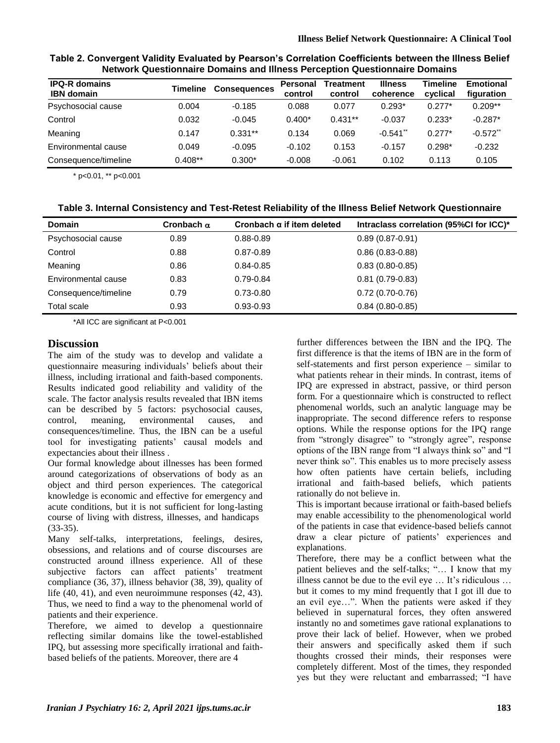| <b>IPQ-R domains</b><br><b>IBN</b> domain | <b>Timeline</b> | <b>Consequences</b> | Personal<br>control | Treatment<br>control | <b>Illness</b><br>coherence | Timeline<br>cyclical | <b>Emotional</b><br>figuration |
|-------------------------------------------|-----------------|---------------------|---------------------|----------------------|-----------------------------|----------------------|--------------------------------|
| Psychosocial cause                        | 0.004           | $-0.185$            | 0.088               | 0.077                | $0.293*$                    | $0.277*$             | $0.209**$                      |
| Control                                   | 0.032           | $-0.045$            | $0.400*$            | $0.431**$            | $-0.037$                    | $0.233*$             | $-0.287*$                      |
| Meaning                                   | 0.147           | $0.331**$           | 0.134               | 0.069                | $-0.541$                    | $0.277*$             | $-0.572$ **                    |
| Environmental cause                       | 0.049           | $-0.095$            | $-0.102$            | 0.153                | $-0.157$                    | $0.298*$             | $-0.232$                       |
| Consequence/timeline                      | $0.408**$       | $0.300*$            | $-0.008$            | $-0.061$             | 0.102                       | 0.113                | 0.105                          |

**Table 2. Convergent Validity Evaluated by Pearson's Correlation Coefficients between the Illness Belief Network Questionnaire Domains and Illness Perception Questionnaire Domains**

\* p<0.01, \*\* p<0.001

| Table 3. Internal Consistency and Test-Retest Reliability of the Illness Belief Network Questionnaire |  |
|-------------------------------------------------------------------------------------------------------|--|
|-------------------------------------------------------------------------------------------------------|--|

| <b>Domain</b>        | Cronbach $\alpha$ | Cronbach $\alpha$ if item deleted | Intraclass correlation (95%CI for ICC)* |
|----------------------|-------------------|-----------------------------------|-----------------------------------------|
| Psychosocial cause   | 0.89              | $0.88 - 0.89$                     | $0.89(0.87 - 0.91)$                     |
| Control              | 0.88              | $0.87 - 0.89$                     | $0.86(0.83 - 0.88)$                     |
| Meaning              | 0.86              | $0.84 - 0.85$                     | $0.83(0.80 - 0.85)$                     |
| Environmental cause  | 0.83              | 0.79-0.84                         | $0.81(0.79-0.83)$                       |
| Consequence/timeline | 0.79              | 0.73-0.80                         | $0.72(0.70-0.76)$                       |
| Total scale          | 0.93              | $0.93 - 0.93$                     | $0.84(0.80 - 0.85)$                     |

\*All ICC are significant at P<0.001

### **Discussion**

The aim of the study was to develop and validate a questionnaire measuring individuals' beliefs about their illness, including irrational and faith-based components. Results indicated good reliability and validity of the scale. The factor analysis results revealed that IBN items can be described by 5 factors: psychosocial causes, control, meaning, environmental causes, and consequences/timeline. Thus, the IBN can be a useful tool for investigating patients' causal models and expectancies about their illness .

Our formal knowledge about illnesses has been formed around categorizations of observations of body as an object and third person experiences. The categorical knowledge is economic and effective for emergency and acute conditions, but it is not sufficient for long-lasting course of living with distress, illnesses, and handicaps (33-35).

Many self-talks, interpretations, feelings, desires, obsessions, and relations and of course discourses are constructed around illness experience. All of these subjective factors can affect patients' treatment compliance (36, 37), illness behavior (38, 39), quality of life (40, 41), and even neuroimmune responses (42, 43). Thus, we need to find a way to the phenomenal world of patients and their experience.

Therefore, we aimed to develop a questionnaire reflecting similar domains like the towel-established IPQ, but assessing more specifically irrational and faithbased beliefs of the patients. Moreover, there are 4

further differences between the IBN and the IPQ. The first difference is that the items of IBN are in the form of self-statements and first person experience – similar to what patients rehear in their minds. In contrast, items of IPQ are expressed in abstract, passive, or third person form. For a questionnaire which is constructed to reflect phenomenal worlds, such an analytic language may be inappropriate. The second difference refers to response options. While the response options for the IPQ range from "strongly disagree" to "strongly agree", response options of the IBN range from "I always think so" and "I never think so". This enables us to more precisely assess how often patients have certain beliefs, including irrational and faith-based beliefs, which patients rationally do not believe in.

This is important because irrational or faith-based beliefs may enable accessibility to the phenomenological world of the patients in case that evidence-based beliefs cannot draw a clear picture of patients' experiences and explanations.

Therefore, there may be a conflict between what the patient believes and the self-talks; "… I know that my illness cannot be due to the evil eye … It's ridiculous … but it comes to my mind frequently that I got ill due to an evil eye…". When the patients were asked if they believed in supernatural forces, they often answered instantly no and sometimes gave rational explanations to prove their lack of belief. However, when we probed their answers and specifically asked them if such thoughts crossed their minds, their responses were completely different. Most of the times, they responded yes but they were reluctant and embarrassed; "I have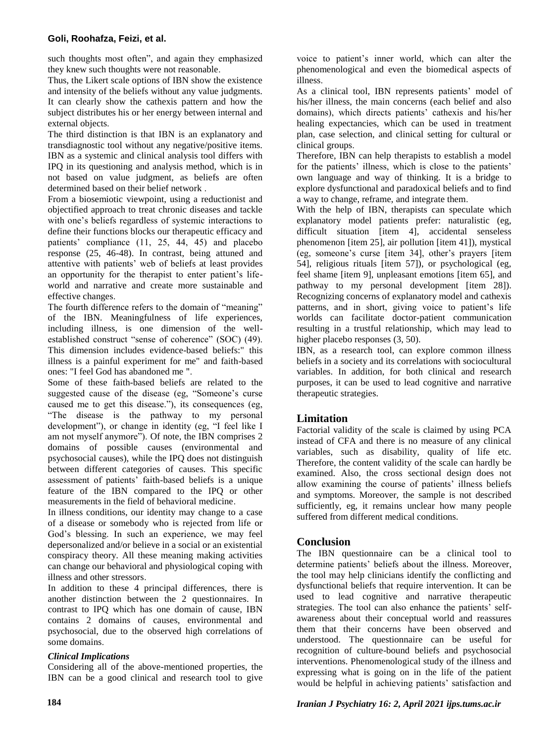such thoughts most often", and again they emphasized they knew such thoughts were not reasonable.

Thus, the Likert scale options of IBN show the existence and intensity of the beliefs without any value judgments. It can clearly show the cathexis pattern and how the subject distributes his or her energy between internal and external objects.

The third distinction is that IBN is an explanatory and transdiagnostic tool without any negative/positive items. IBN as a systemic and clinical analysis tool differs with IPQ in its questioning and analysis method, which is in not based on value judgment, as beliefs are often determined based on their belief network .

From a biosemiotic viewpoint, using a reductionist and objectified approach to treat chronic diseases and tackle with one's beliefs regardless of systemic interactions to define their functions blocks our therapeutic efficacy and patients' compliance (11, 25, 44, 45) and placebo response (25, 46-48). In contrast, being attuned and attentive with patients' web of beliefs at least provides an opportunity for the therapist to enter patient's lifeworld and narrative and create more sustainable and effective changes.

The fourth difference refers to the domain of "meaning" of the IBN. Meaningfulness of life experiences, including illness, is one dimension of the wellestablished construct "sense of coherence" (SOC) (49). This dimension includes evidence-based beliefs:" this illness is a painful experiment for me" and faith-based ones: "I feel God has abandoned me ".

Some of these faith-based beliefs are related to the suggested cause of the disease (eg, "Someone's curse caused me to get this disease."), its consequences (eg, "The disease is the pathway to my personal development"), or change in identity (eg, "I feel like I am not myself anymore"). Of note, the IBN comprises 2 domains of possible causes (environmental and psychosocial causes), while the IPQ does not distinguish between different categories of causes. This specific assessment of patients' faith-based beliefs is a unique feature of the IBN compared to the IPQ or other measurements in the field of behavioral medicine.

In illness conditions, our identity may change to a case of a disease or somebody who is rejected from life or God's blessing. In such an experience, we may feel depersonalized and/or believe in a social or an existential conspiracy theory. All these meaning making activities can change our behavioral and physiological coping with illness and other stressors.

In addition to these 4 principal differences, there is another distinction between the 2 questionnaires. In contrast to IPQ which has one domain of cause, IBN contains 2 domains of causes, environmental and psychosocial, due to the observed high correlations of some domains.

# *Clinical Implications*

Considering all of the above-mentioned properties, the IBN can be a good clinical and research tool to give voice to patient's inner world, which can alter the phenomenological and even the biomedical aspects of illness.

As a clinical tool, IBN represents patients' model of his/her illness, the main concerns (each belief and also domains), which directs patients' cathexis and his/her healing expectancies, which can be used in treatment plan, case selection, and clinical setting for cultural or clinical groups.

Therefore, IBN can help therapists to establish a model for the patients' illness, which is close to the patients' own language and way of thinking. It is a bridge to explore dysfunctional and paradoxical beliefs and to find a way to change, reframe, and integrate them.

With the help of IBN, therapists can speculate which explanatory model patients prefer: naturalistic (eg, difficult situation [item 4], accidental senseless phenomenon [item 25], air pollution [item 41]), mystical (eg, someone's curse [item 34], other's prayers [item 54], religious rituals [item 57]), or psychological (eg, feel shame [item 9], unpleasant emotions [item 65], and pathway to my personal development [item 28]). Recognizing concerns of explanatory model and cathexis patterns, and in short, giving voice to patient's life worlds can facilitate doctor-patient communication resulting in a trustful relationship, which may lead to higher placebo responses  $(3, 50)$ .

IBN, as a research tool, can explore common illness beliefs in a society and its correlations with sociocultural variables. In addition, for both clinical and research purposes, it can be used to lead cognitive and narrative therapeutic strategies.

# **Limitation**

Factorial validity of the scale is claimed by using PCA instead of CFA and there is no measure of any clinical variables, such as disability, quality of life etc. Therefore, the content validity of the scale can hardly be examined. Also, the cross sectional design does not allow examining the course of patients' illness beliefs and symptoms. Moreover, the sample is not described sufficiently, eg, it remains unclear how many people suffered from different medical conditions.

# **Conclusion**

The IBN questionnaire can be a clinical tool to determine patients' beliefs about the illness. Moreover, the tool may help clinicians identify the conflicting and dysfunctional beliefs that require intervention. It can be used to lead cognitive and narrative therapeutic strategies. The tool can also enhance the patients' selfawareness about their conceptual world and reassures them that their concerns have been observed and understood. The questionnaire can be useful for recognition of culture-bound beliefs and psychosocial interventions. Phenomenological study of the illness and expressing what is going on in the life of the patient would be helpful in achieving patients' satisfaction and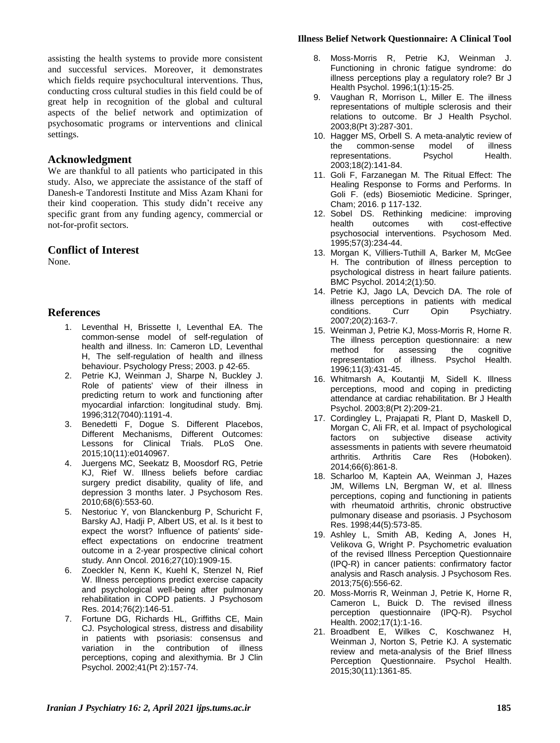assisting the health systems to provide more consistent and successful services. Moreover, it demonstrates which fields require psychocultural interventions. Thus, conducting cross cultural studies in this field could be of great help in recognition of the global and cultural aspects of the belief network and optimization of psychosomatic programs or interventions and clinical settings.

#### **Acknowledgment**

We are thankful to all patients who participated in this study. Also, we appreciate the assistance of the staff of Danesh-e Tandoresti Institute and Miss Azam Khani for their kind cooperation. This study didn't receive any specific grant from any funding agency, commercial or not-for-profit sectors.

#### **Conflict of Interest**

None.

# **References**

- 1. Leventhal H, Brissette I, Leventhal EA. The common-sense model of self-regulation of health and illness. In: Cameron LD, Leventhal H, The self-regulation of health and illness behaviour. Psychology Press; 2003. p 42-65.
- 2. Petrie KJ, Weinman J, Sharpe N, Buckley J. Role of patients' view of their illness in predicting return to work and functioning after myocardial infarction: longitudinal study. Bmj. 1996;312(7040):1191-4.
- 3. Benedetti F, Dogue S. Different Placebos, Different Mechanisms, Different Outcomes: Lessons for Clinical Trials. PLoS One. 2015;10(11):e0140967.
- 4. Juergens MC, Seekatz B, Moosdorf RG, Petrie KJ, Rief W. Illness beliefs before cardiac surgery predict disability, quality of life, and depression 3 months later. J Psychosom Res. 2010;68(6):553-60.
- 5. Nestoriuc Y, von Blanckenburg P, Schuricht F, Barsky AJ, Hadji P, Albert US, et al. Is it best to expect the worst? Influence of patients' sideeffect expectations on endocrine treatment outcome in a 2-year prospective clinical cohort study. Ann Oncol. 2016;27(10):1909-15.
- 6. Zoeckler N, Kenn K, Kuehl K, Stenzel N, Rief W. Illness perceptions predict exercise capacity and psychological well-being after pulmonary rehabilitation in COPD patients. J Psychosom Res. 2014;76(2):146-51.
- 7. Fortune DG, Richards HL, Griffiths CE, Main CJ. Psychological stress, distress and disability in patients with psoriasis: consensus and variation in the contribution of illness perceptions, coping and alexithymia. Br J Clin Psychol. 2002;41(Pt 2):157-74.

#### **Illness Belief Network Questionnaire: A Clinical Tool**

- 8. Moss‐Morris R, Petrie KJ, Weinman J. Functioning in chronic fatigue syndrome: do illness perceptions play a regulatory role? Br J Health Psychol. 1996;1(1):15-25.
- 9. Vaughan R, Morrison L, Miller E. The illness representations of multiple sclerosis and their relations to outcome. Br J Health Psychol. 2003;8(Pt 3):287-301.
- 10. Hagger MS, Orbell S. A meta-analytic review of the common-sense model of illness representations. Psychol Health. 2003;18(2):141-84.
- 11. Goli F, Farzanegan M. The Ritual Effect: The Healing Response to Forms and Performs. In Goli F. (eds) Biosemiotic Medicine. Springer, Cham; 2016. p 117-132.
- 12. Sobel DS. Rethinking medicine: improving<br>health outcomes with cost-effective cost-effective psychosocial interventions. Psychosom Med. 1995;57(3):234-44.
- 13. Morgan K, Villiers-Tuthill A, Barker M, McGee H. The contribution of illness perception to psychological distress in heart failure patients. BMC Psychol. 2014;2(1):50.
- 14. Petrie KJ, Jago LA, Devcich DA. The role of illness perceptions in patients with medical<br>conditions. Curr Opin Psychiatry. Curr Opin Psychiatry. 2007;20(2):163-7.
- 15. Weinman J, Petrie KJ, Moss-Morris R, Horne R. The illness perception questionnaire: a new<br>method for assessing the cognitive method for assessing the cognitive representation of illness. Psychol Health. 1996;11(3):431-45.
- 16. Whitmarsh A, Koutantji M, Sidell K. Illness perceptions, mood and coping in predicting attendance at cardiac rehabilitation. Br J Health Psychol. 2003;8(Pt 2):209-21.
- 17. Cordingley L, Prajapati R, Plant D, Maskell D, Morgan C, Ali FR, et al. Impact of psychological factors on subjective disease activity assessments in patients with severe rheumatoid arthritis. Arthritis Care Res (Hoboken). 2014;66(6):861-8.
- 18. Scharloo M, Kaptein AA, Weinman J, Hazes JM, Willems LN, Bergman W, et al. Illness perceptions, coping and functioning in patients with rheumatoid arthritis, chronic obstructive pulmonary disease and psoriasis. J Psychosom Res. 1998;44(5):573-85.
- 19. Ashley L, Smith AB, Keding A, Jones H, Velikova G, Wright P. Psychometric evaluation of the revised Illness Perception Questionnaire (IPQ-R) in cancer patients: confirmatory factor analysis and Rasch analysis. J Psychosom Res. 2013;75(6):556-62.
- 20. Moss-Morris R, Weinman J, Petrie K, Horne R, Cameron L, Buick D. The revised illness perception questionnaire (IPQ-R). Psychol Health. 2002;17(1):1-16.
- 21. Broadbent E, Wilkes C, Koschwanez H, Weinman J, Norton S, Petrie KJ. A systematic review and meta-analysis of the Brief Illness Perception Questionnaire. Psychol Health. 2015;30(11):1361-85.